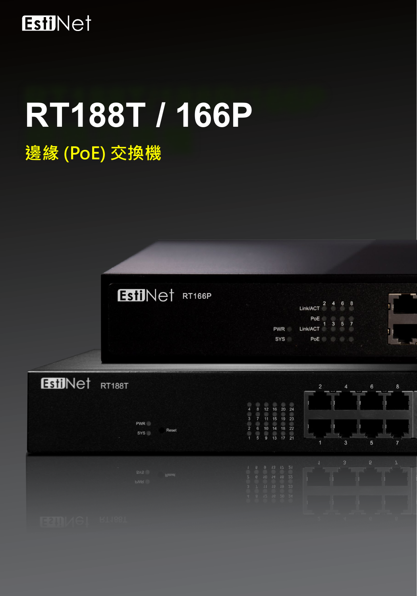

# **RT188T / 166P**

# **邊緣 (PoE) 交換機**



|            | Link/ACT        | $\overline{2}$ | $\ddot{\Phi}$ | 6 | 8 |  |
|------------|-----------------|----------------|---------------|---|---|--|
| <b>PWR</b> | PoE<br>Link/ACT |                | 3             | 5 | 7 |  |
| <b>SYS</b> | PoE             |                |               |   |   |  |
|            |                 |                |               |   |   |  |

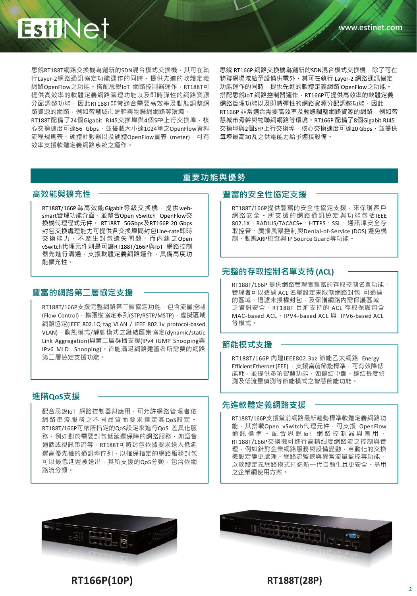

思銳RT188T網路交換機為創新的SDN混合模式交換機,其可在執 行Layer-2網路通訊協定功能運作的同時,提供先進的軟體定義 網路OpenFlow之功能。搭配思銳IoT 網路控制器運作, RT188T可 提供高效率的軟體定義網路管理功能以及即時彈性的網路資源 分配調整功能,因此RT188T非常適合需要高效率及動態調整網 路資源的網路,例如智慧城市骨幹與物聯網網路等環境。

RT188T配備了24個Gigabit RJ45交換埠與4個SFP上行交換埠,核 心交換速度可達56 Gbps,並搭載大小達1024筆之OpenFlow資料 流程規則表、硬體計數器以及硬體OpenFlow量表 (meter), 可有 效率支援軟體定義網路系統之運作。

思銳 RT166P 網路交換機為創新的SDN混合模式交換機,除了可在 物聯網場域給予設備供電外,其可在執行 Layer-2 網路通訊協定 功能運作的同時,提供先進的軟體定義網路 OpenFlow之功能。 搭配思銳IoT 網路控制器運作,RT166P可提供高效率的軟體定義 網路管理功能以及即時彈性的網路資源分配調整功能,因此 RT166P 非常適合需要高效率及動態調整網路資源的網路, 例如智 慧城市骨幹與物聯網網路等環境。RT166P 配備了8個Gigabit RJ45 交換埠與2個SFP上行交換埠,核心交換速度可達20 Gbps,並提供 每埠最高30瓦之供電能力給予連接設備。

#### **重要功能與優勢**

#### **高效能與擴充性**

RT188T/166P為高效能Gigabit 等級交換機, 提供websmart管理功能介面,並整合Open vSwitch OpenFlow交 換機代理程式元件。 RT188T 56Gbps及RT166P 20 Gbps 封包交換處理能力可提供各交換埠間封包Line-rate即時 交換能力,不產生封包遺失問題。而內建之Open vSwitch代理元件則是可讓RT188T/166P與IoT 網路控制 器先進行溝通,支援軟體定義網路運作,具備高度功 能擴充性。

#### **豐富的網路第二層協定支援**

RT188T/166P支援完整網路第二層協定功能,包含流量控制 (Flow Control), 擴張樹協定系列(STP/RSTP/MSTP), 虛擬區域 網路協定(IEEE 802.1Q tag VLAN / IEEE 802.1v protocol-based VLAN),動態模式/靜態模式之鏈結匯集協定(dynamic/static Link Aggregation)與第二層群播支援(IPv4 IGMP Snooping與 IPv6 MLD Snooping)。皆能滿足網路建置者所需要的網路 第二層協定支援功能。

#### **進階QoS支援**

配合思銳IoT 網路控制器與應用,可允許網路管理者依 網路串流服務之不同品質而要求指定其QoS設定。 RT188T/166P可依所指定的QoS設定來進行QoS 差異化服 務,例如對於需要封包低延遲保障的網路服務,如語音 通話或視訊串流等, RT188T可將封包依據要求送入低延 遲高優先權的通訊埠佇列,以確保指定的網路服務封包 可以最低延遲被送出,其所支援的QoS分類,包含依網 路流分類。

#### **豐富的安全性協定支援**

RT188T/166P提供豐富的安全性協定支援, 來保護客戶 網路安全。所支援的網路通訊協定與功能包括IEEE 802.1X、RADIUS/TACACS+、HTTPS、SSL、通訊埠安全存 取控管、廣播風暴控制與Denial-of-Service (DOS) 避免機 制、動態ARP檢查與 IP SourceGuard等功能。

#### **完整的存取控制名單支持 (ACL)**

RT188T/166P 提供網路管理者豐富的存取控制名單功能, 管理者可以透過 ACL 名單設定來限制網路封包 可通過 的區域、過濾未授權封包,及保護網路內需保護區域 之資訊安全。RT188T 目前支持的 ACL 存取保護包含 MAC-based ACL、IPV4-based ACL 與 IPV6-based ACL 等模式。

#### **節能模式支援**

RT188T/166P 內建IEEE802.3az 節能乙太網路 Energy Efficient Ethernet (EEE) , 支援當前節能標準, 可有效降低 能耗,並提供多項智慧功能,如鏈結中斷、鏈結長度偵 測及低流量偵測等節能模式之智慧節能功能。

#### **先進軟體定義網路支援**

RT188T/166P支援當前網路最新趨勢標準軟體定義網路功 能, 其搭載Open vSwitch代理元件, 可支援 OpenFlow 通訊標準。配合思銳 IoT 網路控制器與應用, RT188T/166P交換機可進行高精細度網路流之控制與管 理,例如針對企業網路服務與設備變動,自動化的交換 機設定變更處理、網路流監聽與異常流量監控等功能, 以軟體定義網路模式打造新一代自動化且更安全、易用 之企業網使用方案。





**RT166P(10P) RT188T(28P)**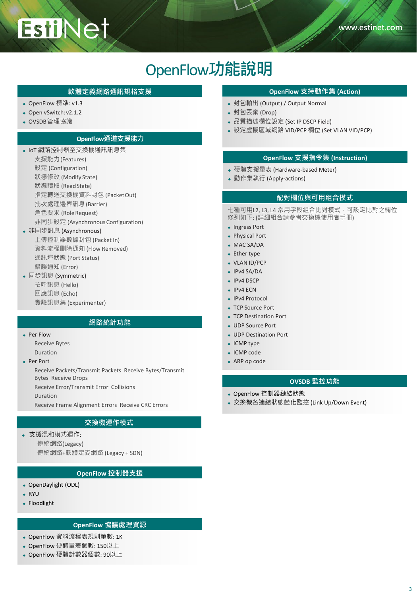## OpenFlow**功能說明**

- ◆ OpenFlow 標準: v1.3
- ◆ Open vSwitch: v2.1.2
- OVSDB管理協議

#### **OpenFlow通道支援能力**

- **◆ IoT 網路控制器至交換機通訊訊息集** 
	- 支援能力(Features) 設定 (Configuration)

**EstiNet** 

- 狀態修改 (Modify State)
- 狀態讀取 (ReadState)
- 指定轉送交換機資料封包 (PacketOut)
- 批次處理邊界訊息(Barrier)
- 角色要求 (RoleRequest)
- 非同步設定 (AsynchronousConfiguration)

#### 非同步訊息 (Asynchronous)

- 上傳控制器數據封包 (Packet In) 資料流程刪除通知 (Flow Removed) 通訊埠狀態 (Port Status) 錯誤通知 (Error)
- ◆ 同步訊息 (Symmetric) 招呼訊息 (Hello) 回應訊息 (Echo) 實驗訊息集 (Experimenter)

#### **網路統計功能**

 Per Flow Receive Bytes

Duration

- ◆ Per Port
	- Receive Packets/Transmit Packets Receive Bytes/Transmit Bytes Receive Drops
	- Receive Error/Transmit Error Collisions

Duration

Receive Frame Alignment Errors Receive CRC Errors

#### **交換機運作模式**

 支援混和模式運作: 傳統網路(Legacy) 傳統網路+軟體定義網路 (Legacy + SDN)

#### **OpenFlow 控制器支援**

- OpenDaylight (ODL)
- RYU
- Floodlight

#### **OpenFlow 協議處理資源**

- OpenFlow 資料流程表規則筆數: 1K
- OpenFlow 硬體量表個數: 150以上
- OpenFlow 硬體計數器個數: 90以上

#### **軟體定義網路通訊規格支援 OpenFlow 支持動作集 (Action)**

- 封包輸出 (Output) / Output Normal
- **◆ 封包丟棄 (Drop)**
- ◆ 品質描述欄位設定 (Set IP DSCP Field)
- **◆ 設定虛擬區域網路 VID/PCP 欄位 (Set VLAN VID/PCP)**

#### **OpenFlow 支援指令集 (Instruction)**

- 硬體支援量表 (Hardware-based Meter)
- ◆ 動作集執行 (Apply-actions)

#### **配對欄位與可用組合模式**

七種可用L2, L3, L4 常用字段組合比對模式,可設定比對之欄位 條列如下: (詳細組合請參考交換機使用者手冊)

- Ingress Port
- Physical Port
- ◆ MAC SA/DA
- Ether type
- ◆ VLAN ID/PCP
- IPv4 SA/DA
- $\cdot$  IPv4 DSCP
- ◆ IPv4 ECN
- ◆ IPv4 Protocol
- ◆ TCP Source Port
- TCP Destination Port
- UDP Source Port
- UDP Destination Port
- ICMP type
- ◆ ICMP code
- ◆ ARP op code

#### **OVSDB 監控功能**

- OpenFlow 控制器鏈結狀態
- 交換機各連結狀態變化監控 (Link Up/Down Event)